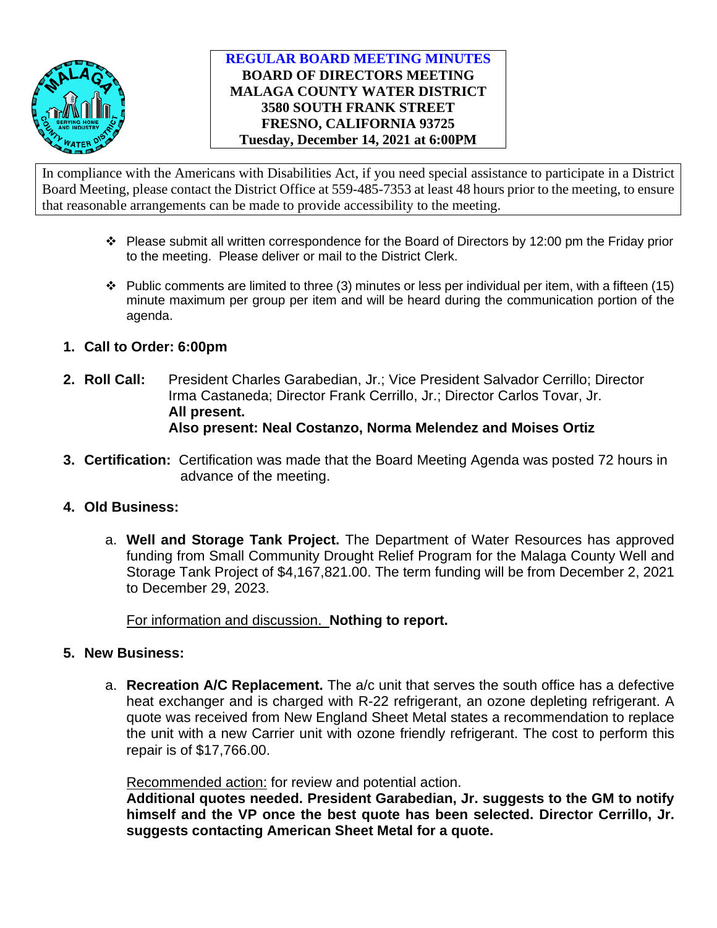

## **REGULAR BOARD MEETING MINUTES BOARD OF DIRECTORS MEETING MALAGA COUNTY WATER DISTRICT 3580 SOUTH FRANK STREET FRESNO, CALIFORNIA 93725 Tuesday, December 14, 2021 at 6:00PM**

In compliance with the Americans with Disabilities Act, if you need special assistance to participate in a District Board Meeting, please contact the District Office at 559-485-7353 at least 48 hours prior to the meeting, to ensure that reasonable arrangements can be made to provide accessibility to the meeting.

- $\cdot \cdot$  Please submit all written correspondence for the Board of Directors by 12:00 pm the Friday prior to the meeting. Please deliver or mail to the District Clerk.
- $\cdot \cdot$  Public comments are limited to three (3) minutes or less per individual per item, with a fifteen (15) minute maximum per group per item and will be heard during the communication portion of the agenda.
- **1. Call to Order: 6:00pm**
- **2. Roll Call:** President Charles Garabedian, Jr.; Vice President Salvador Cerrillo; Director Irma Castaneda; Director Frank Cerrillo, Jr.; Director Carlos Tovar, Jr. **All present. Also present: Neal Costanzo, Norma Melendez and Moises Ortiz**
- **3. Certification:** Certification was made that the Board Meeting Agenda was posted 72 hours in advance of the meeting.

# **4. Old Business:**

a. **Well and Storage Tank Project.** The Department of Water Resources has approved funding from Small Community Drought Relief Program for the Malaga County Well and Storage Tank Project of \$4,167,821.00. The term funding will be from December 2, 2021 to December 29, 2023.

## For information and discussion. **Nothing to report.**

- **5. New Business:**
	- a. **Recreation A/C Replacement.** The a/c unit that serves the south office has a defective heat exchanger and is charged with R-22 refrigerant, an ozone depleting refrigerant. A quote was received from New England Sheet Metal states a recommendation to replace the unit with a new Carrier unit with ozone friendly refrigerant. The cost to perform this repair is of \$17,766.00.

Recommended action: for review and potential action.

**Additional quotes needed. President Garabedian, Jr. suggests to the GM to notify himself and the VP once the best quote has been selected. Director Cerrillo, Jr. suggests contacting American Sheet Metal for a quote.**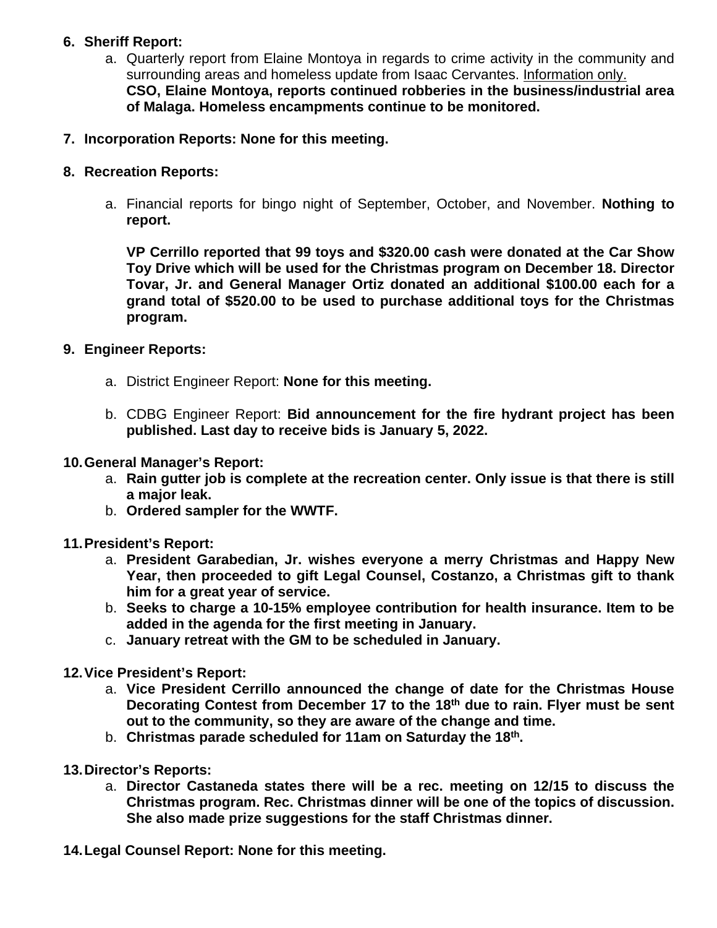# **6. Sheriff Report:**

a. Quarterly report from Elaine Montoya in regards to crime activity in the community and surrounding areas and homeless update from Isaac Cervantes. Information only. **CSO, Elaine Montoya, reports continued robberies in the business/industrial area of Malaga. Homeless encampments continue to be monitored.**

## **7. Incorporation Reports: None for this meeting.**

## **8. Recreation Reports:**

a. Financial reports for bingo night of September, October, and November. **Nothing to report.**

**VP Cerrillo reported that 99 toys and \$320.00 cash were donated at the Car Show Toy Drive which will be used for the Christmas program on December 18. Director Tovar, Jr. and General Manager Ortiz donated an additional \$100.00 each for a grand total of \$520.00 to be used to purchase additional toys for the Christmas program.** 

#### **9. Engineer Reports:**

- a. District Engineer Report: **None for this meeting.**
- b. CDBG Engineer Report: **Bid announcement for the fire hydrant project has been published. Last day to receive bids is January 5, 2022.**

### **10.General Manager's Report:**

- a. **Rain gutter job is complete at the recreation center. Only issue is that there is still a major leak.**
- b. **Ordered sampler for the WWTF.**

## **11.President's Report:**

- a. **President Garabedian, Jr. wishes everyone a merry Christmas and Happy New Year, then proceeded to gift Legal Counsel, Costanzo, a Christmas gift to thank him for a great year of service.**
- b. **Seeks to charge a 10-15% employee contribution for health insurance. Item to be added in the agenda for the first meeting in January.**
- c. **January retreat with the GM to be scheduled in January.**

## **12.Vice President's Report:**

- a. **Vice President Cerrillo announced the change of date for the Christmas House Decorating Contest from December 17 to the 18th due to rain. Flyer must be sent out to the community, so they are aware of the change and time.**
- b. **Christmas parade scheduled for 11am on Saturday the 18th.**
- **13.Director's Reports:**
	- a. **Director Castaneda states there will be a rec. meeting on 12/15 to discuss the Christmas program. Rec. Christmas dinner will be one of the topics of discussion. She also made prize suggestions for the staff Christmas dinner.**
- **14.Legal Counsel Report: None for this meeting.**